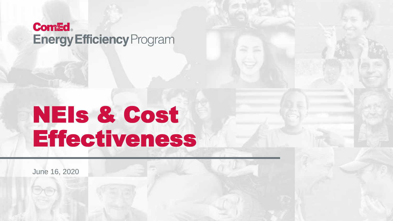#### **Com&d Energy Efficiency Program**

# NEIs & Cost Effectiveness

June 16, 2020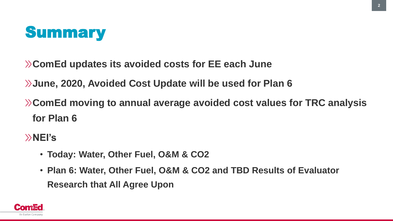

**ComEd updates its avoided costs for EE each June**

**June, 2020, Avoided Cost Update will be used for Plan 6**

**ComEd moving to annual average avoided cost values for TRC analysis for Plan 6**

**NEI's**

- **Today: Water, Other Fuel, O&M & CO2**
- **Plan 6: Water, Other Fuel, O&M & CO2 and TBD Results of Evaluator Research that All Agree Upon**

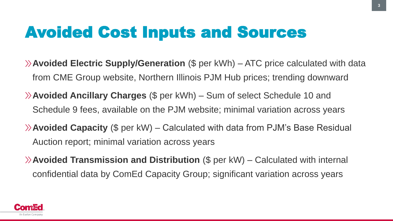## Avoided Cost Inputs and Sources

- **Avoided Electric Supply/Generation** (\$ per kWh) ATC price calculated with data from CME Group website, Northern Illinois PJM Hub prices; trending downward
- **Avoided Ancillary Charges** (\$ per kWh) Sum of select Schedule 10 and Schedule 9 fees, available on the PJM website; minimal variation across years
- **Avoided Capacity** (\$ per kW) Calculated with data from PJM's Base Residual Auction report; minimal variation across years
- **Avoided Transmission and Distribution** (\$ per kW) Calculated with internal confidential data by ComEd Capacity Group; significant variation across years

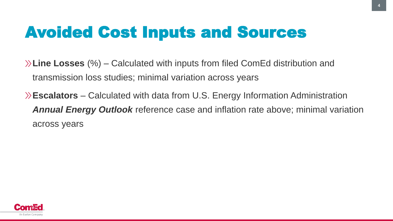# Avoided Cost Inputs and Sources

**Line Losses** (%) – Calculated with inputs from filed ComEd distribution and transmission loss studies; minimal variation across years

**Escalators** – Calculated with data from U.S. Energy Information Administration *Annual Energy Outlook* reference case and inflation rate above; minimal variation across years

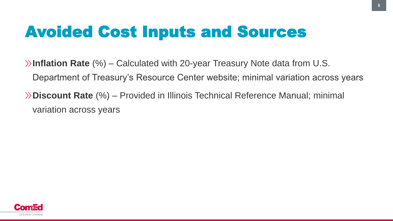# Avoided Cost Inputs and Sources

**Inflation Rate** (%) – Calculated with 20-year Treasury Note data from U.S. Department of Treasury's Resource Center website; minimal variation across years **Discount Rate** (%) – Provided in Illinois Technical Reference Manual; minimal variation across years

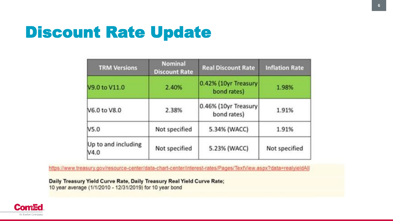#### Discount Rate Update

| <b>TRM Versions</b>         | <b>Nominal</b><br><b>Discount Rate</b> | <b>Real Discount Rate</b>           | <b>Inflation Rate</b><br>1.98% |  |
|-----------------------------|----------------------------------------|-------------------------------------|--------------------------------|--|
| V9.0 to V11.0               | 2.40%                                  | 0.42% (10yr Treasury<br>bond rates) |                                |  |
| <b>V6.0 to V8.0</b>         | 2.38%                                  | 0.46% (10yr Treasury<br>bond rates) | 1.91%                          |  |
| <b>V5.0</b>                 | Not specified                          | 5.34% (WACC)                        | 1.91%                          |  |
| Up to and including<br>N4.0 | Not specified                          | 5.23% (WACC)                        | Not specified                  |  |

https://www.treasury.gov/resource-center/data-chart-center/interest-rates/Pages/TextView.aspx?data=realyieldAll

Daily Treasury Yield Curve Rate, Daily Treasury Real Yield Curve Rate; 10 year average (1/1/2010 - 12/31/2019) for 10 year bond

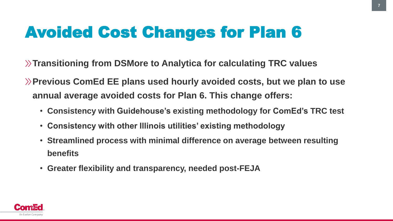# Avoided Cost Changes for Plan 6

**Transitioning from DSMore to Analytica for calculating TRC values**

**Previous ComEd EE plans used hourly avoided costs, but we plan to use annual average avoided costs for Plan 6. This change offers:**

- **Consistency with Guidehouse's existing methodology for ComEd's TRC test**
- **Consistency with other Illinois utilities' existing methodology**
- **Streamlined process with minimal difference on average between resulting benefits**
- **Greater flexibility and transparency, needed post-FEJA**

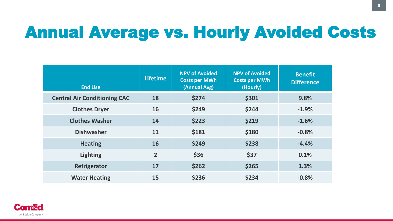## Annual Average vs. Hourly Avoided Costs

| <b>End Use</b>                      | <b>Lifetime</b> | <b>NPV of Avoided</b><br><b>Costs per MWh</b><br>(Annual Avg) | <b>NPV of Avoided</b><br><b>Costs per MWh</b><br>(Hourly) | <b>Benefit</b><br><b>Difference</b> |
|-------------------------------------|-----------------|---------------------------------------------------------------|-----------------------------------------------------------|-------------------------------------|
| <b>Central Air Conditioning CAC</b> | 18              | \$274                                                         | \$301                                                     | 9.8%                                |
| <b>Clothes Dryer</b>                | 16              | \$249                                                         | \$244                                                     | $-1.9%$                             |
| <b>Clothes Washer</b>               | 14              | \$223                                                         | \$219                                                     | $-1.6%$                             |
| <b>Dishwasher</b>                   | 11              | \$181                                                         | \$180                                                     | $-0.8%$                             |
| <b>Heating</b>                      | <b>16</b>       | \$249                                                         | \$238                                                     | $-4.4%$                             |
| <b>Lighting</b>                     | $\overline{2}$  | \$36                                                          | \$37                                                      | 0.1%                                |
| Refrigerator                        | 17              | \$262                                                         | \$265                                                     | 1.3%                                |
| <b>Water Heating</b>                | 15              | \$236                                                         | \$234                                                     | $-0.8%$                             |

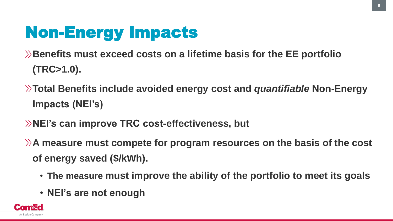# Non-Energy Impacts

**Benefits must exceed costs on a lifetime basis for the EE portfolio (TRC>1.0).**

- **Total Benefits include avoided energy cost and** *quantifiable* **Non-Energy Impacts (NEI's)**
- **NEI's can improve TRC cost-effectiveness, but**
- **A measure must compete for program resources on the basis of the cost of energy saved (\$/kWh).**
	- **The measure must improve the ability of the portfolio to meet its goals**
	- **NEI's are not enough**

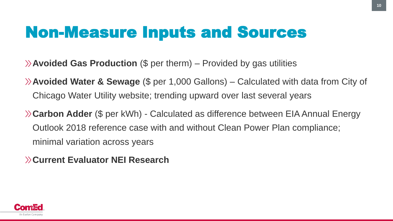#### Non-Measure Inputs and Sources

- **Avoided Gas Production** (\$ per therm) Provided by gas utilities
- **Avoided Water & Sewage** (\$ per 1,000 Gallons) Calculated with data from City of Chicago Water Utility website; trending upward over last several years
- **Carbon Adder** (\$ per kWh) Calculated as difference between EIA Annual Energy Outlook 2018 reference case with and without Clean Power Plan compliance; minimal variation across years
- **Current Evaluator NEI Research**